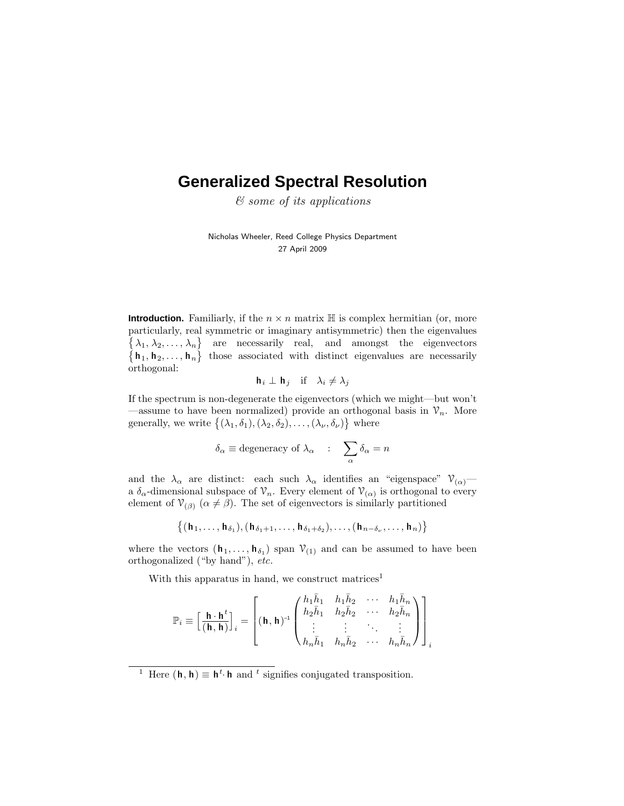# **Generalized Spectral Resolution**

& some of its applications

Nicholas Wheeler, Reed College Physics Department 27 April 2009

**Introduction.** Familiarly, if the  $n \times n$  matrix  $\mathbb{H}$  is complex hermitian (or, more particularly, real symmetric or imaginary antisymmetric) then the eigenvalues  $\{\lambda_1, \lambda_2, \ldots, \lambda_n\}$  are necessarily real, and amongst the eigenvectors  $\{h_1, h_2, \ldots, h_n\}$  those associated with distinct eigenvalues are necessarily orthogonal:

$$
\mathbf{h}_i \perp \mathbf{h}_j \quad \text{if} \quad \lambda_i \neq \lambda_j
$$

If the spectrum is non-degenerate the eigenvectors (which we might—but won't —assume to have been normalized) provide an orthogonal basis in  $\mathcal{V}_n$ . More generally, we write  $\{(\lambda_1, \delta_1), (\lambda_2, \delta_2), \ldots, (\lambda_{\nu}, \delta_{\nu})\}$  where

$$
\delta_{\alpha} \equiv \text{degeneracy of } \lambda_{\alpha} \quad : \quad \sum_{\alpha} \delta_{\alpha} = n
$$

and the  $\lambda_{\alpha}$  are distinct: each such  $\lambda_{\alpha}$  identifies an "eigenspace"  $\mathcal{V}_{(\alpha)}$  a  $\delta_{\alpha}$ -dimensional subspace of  $\mathcal{V}_n$ . Every element of  $\mathcal{V}_{(\alpha)}$  is orthogonal to every element of  $\mathcal{V}_{(\beta)}$  ( $\alpha \neq \beta$ ). The set of eigenvectors is similarly partitioned

 $\{(\mathbf{h}_1, \ldots, \mathbf{h}_{\delta_1}), (\mathbf{h}_{\delta_1+1}, \ldots, \mathbf{h}_{\delta_1+\delta_2}), \ldots, (\mathbf{h}_{n-\delta_{\nu}}, \ldots, \mathbf{h}_{n})\}$ 

where the vectors  $(\mathbf{h}_1, \ldots, \mathbf{h}_{\delta_1})$  span  $\mathcal{V}_{(1)}$  and can be assumed to have been orthogonalized ("by hand"), etc.

With this apparatus in hand, we construct matrices<sup>1</sup>

$$
\mathbb{P}_{i} \equiv \left[\frac{\mathbf{h} \cdot \mathbf{h}^{t}}{(\mathbf{h}, \mathbf{h})}\right]_{i} = \left[(\mathbf{h}, \mathbf{h})^{-1} \begin{pmatrix} h_{1} \bar{h}_{1} & h_{1} \bar{h}_{2} & \cdots & h_{1} \bar{h}_{n} \\ h_{2} \bar{h}_{1} & h_{2} \bar{h}_{2} & \cdots & h_{2} \bar{h}_{n} \\ \vdots & \vdots & \ddots & \vdots \\ h_{n} \bar{h}_{1} & h_{n} \bar{h}_{2} & \cdots & h_{n} \bar{h}_{n} \end{pmatrix}\right]_{i}
$$

<sup>&</sup>lt;sup>1</sup> Here  $(\mathbf{h}, \mathbf{h}) \equiv \mathbf{h}^t \cdot \mathbf{h}$  and <sup>*t*</sup> signifies conjugated transposition.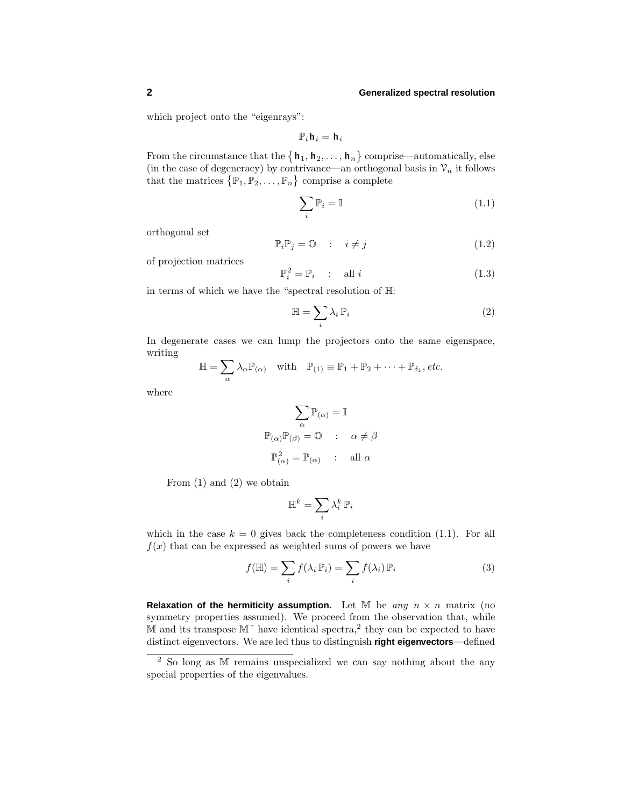## **2 Generalized spectral resolution**

which project onto the "eigenrays":

$$
\mathbb{P}_i\,\boldsymbol{\mathsf{h}}_i=\,\boldsymbol{\mathsf{h}}_i
$$

From the circumstance that the  $\{h_1, h_2, \ldots, h_n\}$  comprise—automatically, else (in the case of degeneracy) by contrivance—an orthogonal basis in  $\mathcal{V}_n$  it follows that the matrices  $\{\mathbb{P}_1, \mathbb{P}_2, \ldots, \mathbb{P}_n\}$  comprise a complete

$$
\sum_{i} \mathbb{P}_{i} = \mathbb{I} \tag{1.1}
$$

orthogonal set

$$
\mathbb{P}_i \mathbb{P}_j = \mathbb{O} \qquad : \quad i \neq j \tag{1.2}
$$

of projection matrices

$$
\mathbb{P}_i^2 = \mathbb{P}_i \qquad \text{all } i \tag{1.3}
$$

in terms of which we have the "spectral resolution of H:

$$
\mathbb{H} = \sum_{i} \lambda_i \, \mathbb{P}_i \tag{2}
$$

In degenerate cases we can lump the projectors onto the same eigenspace, writing

$$
\mathbb{H} = \sum_{\alpha} \lambda_{\alpha} \mathbb{P}_{(\alpha)} \quad \text{with} \quad \mathbb{P}_{(1)} \equiv \mathbb{P}_1 + \mathbb{P}_2 + \cdots + \mathbb{P}_{\delta_1}, \text{etc.}
$$

where

$$
\sum_{\alpha} \mathbb{P}_{(\alpha)} = \mathbb{I}
$$

$$
\mathbb{P}_{(\alpha)} \mathbb{P}_{(\beta)} = \mathbb{O} \quad : \quad \alpha \neq \beta
$$

$$
\mathbb{P}_{(\alpha)}^2 = \mathbb{P}_{(\alpha)} \quad : \quad \text{all } \alpha
$$

From  $(1)$  and  $(2)$  we obtain

$$
\mathbb{H}^k = \sum_i \lambda_i^k \, \mathbb{P}_i
$$

which in the case  $k = 0$  gives back the completeness condition  $(1.1)$ . For all  $f(x)$  that can be expressed as weighted sums of powers we have

$$
f(\mathbb{H}) = \sum_{i} f(\lambda_i \mathbb{P}_i) = \sum_{i} f(\lambda_i) \mathbb{P}_i
$$
 (3)

**Relaxation of the hermiticity assumption.** Let M be any  $n \times n$  matrix (no symmetry properties assumed). We proceed from the observation that, while  $\overline{M}$  and its transpose  $\mathbb{M}^{\top}$  have identical spectra,<sup>2</sup> they can be expected to have distinct eigenvectors. We are led thus to distinguish **right eigenvectors**—defined

<sup>2</sup> So long as M remains unspecialized we can say nothing about the any special properties of the eigenvalues.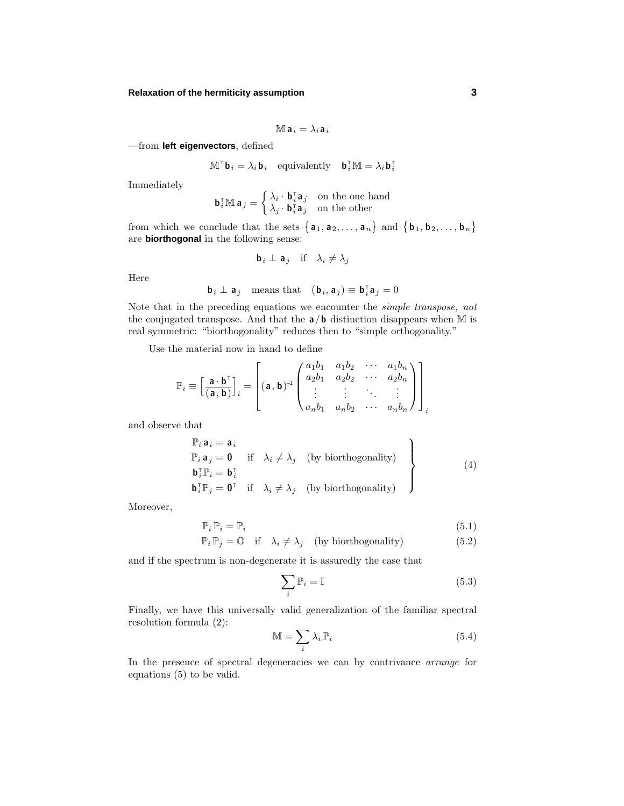## **Relaxation of the hermiticity assumption 3**

$$
\mathbb{M} \, \mathsf{a}_i = \lambda_i \, \mathsf{a}_i
$$

—from **left eigenvectors**, defined

$$
\mathbb{M}^\top \mathbf{b}_i = \lambda_i \mathbf{b}_i \quad \text{equivalently} \quad \mathbf{b}_i^\top \mathbb{M} = \lambda_i \mathbf{b}_i^\top
$$

Immediately

$$
\mathbf{b}_i^{\mathsf{T}} \mathbb{M} \, \mathbf{a}_j = \begin{cases} \lambda_i \cdot \mathbf{b}_i^{\mathsf{T}} \mathbf{a}_j & \text{on the one hand} \\ \lambda_j \cdot \mathbf{b}_i^{\mathsf{T}} \mathbf{a}_j & \text{on the other} \end{cases}
$$

from which we conclude that the sets  $\{a_1, a_2, \ldots, a_n\}$  and  $\{b_1, b_2, \ldots, b_n\}$ are **biorthogonal** in the following sense:

$$
\mathbf{b}_i \perp \mathbf{a}_j \quad \text{if} \quad \lambda_i \neq \lambda_j
$$

Here

$$
\mathbf{b}_i \perp \mathbf{a}_j \quad \text{means that} \quad (\mathbf{b}_i, \mathbf{a}_j) \equiv \mathbf{b}_i^{\mathsf{T}} \mathbf{a}_j = 0
$$

Note that in the preceding equations we encounter the simple transpose, not the conjugated transpose. And that the **a***/***b** distinction disappears when M is real symmetric: "biorthogonality" reduces then to "simple orthogonality."

Use the material now in hand to define

$$
\mathbb{P}_{i} \equiv \left[\frac{\mathbf{a} \cdot \mathbf{b}^{\mathsf{T}}}{(\mathbf{a}, \mathbf{b})}\right]_{i} = \left[\left(\mathbf{a}, \mathbf{b}\right)^{-1} \begin{pmatrix} a_{1}b_{1} & a_{1}b_{2} & \cdots & a_{1}b_{n} \\ a_{2}b_{1} & a_{2}b_{2} & \cdots & a_{2}b_{n} \\ \vdots & \vdots & \ddots & \vdots \\ a_{n}b_{1} & a_{n}b_{2} & \cdots & a_{n}b_{n} \end{pmatrix}\right]_{i}
$$

and observe that

$$
\mathbb{P}_{i} \mathbf{a}_{i} = \mathbf{a}_{i} \n\mathbb{P}_{i} \mathbf{a}_{j} = \mathbf{0} \quad \text{if} \quad \lambda_{i} \neq \lambda_{j} \quad \text{(by biorthogonality)} \n\mathbf{b}_{i}^{\top} \mathbb{P}_{i} = \mathbf{b}_{i}^{\top} \n\mathbf{b}_{i}^{\top} \mathbb{P}_{j} = \mathbf{0}^{\top} \quad \text{if} \quad \lambda_{i} \neq \lambda_{j} \quad \text{(by biorthogonality)} \n\tag{4}
$$

Moreover,

$$
\mathbb{P}_i \, \mathbb{P}_i = \mathbb{P}_i \tag{5.1}
$$

$$
\mathbb{P}_i \mathbb{P}_j = \mathbb{O} \quad \text{if} \quad \lambda_i \neq \lambda_j \quad \text{(by biorthogonality)} \tag{5.2}
$$

and if the spectrum is non-degenerate it is assuredly the case that

$$
\sum_{i} \mathbb{P}_{i} = \mathbb{I} \tag{5.3}
$$

Finally, we have this universally valid generalization of the familiar spectral resolution formula (2):

$$
\mathbb{M} = \sum_{i} \lambda_i \, \mathbb{P}_i \tag{5.4}
$$

In the presence of spectral degeneracies we can by contrivance *arrange* for equations (5) to be valid.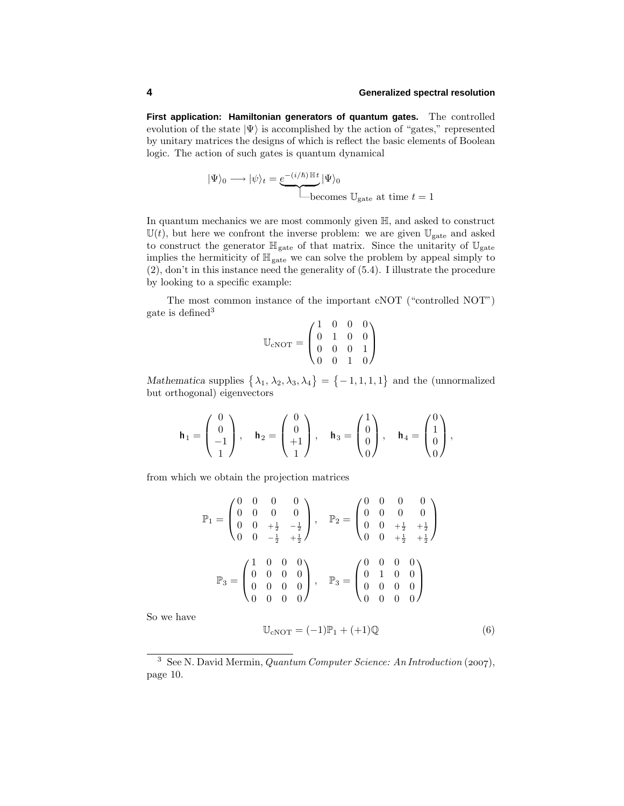**First application: Hamiltonian generators of quantum gates.** The controlled evolution of the state  $|\Psi\rangle$  is accomplished by the action of "gates," represented by unitary matrices the designs of which is reflect the basic elements of Boolean logic. The action of such gates is quantum dynamical

$$
|\Psi\rangle_0 \longrightarrow |\psi\rangle_t = \underbrace{e^{-(i/\hbar)\mathbb{H}t}}_{\text{becomes }\mathbb{U}_{\text{gate}}} |\Psi\rangle_0
$$

In quantum mechanics we are most commonly given H, and asked to construct  $\mathbb{U}(t)$ , but here we confront the inverse problem: we are given  $\mathbb{U}_{\text{gate}}$  and asked to construct the generator  $\mathbb{H}_{gate}$  of that matrix. Since the unitarity of  $\mathbb{U}_{gate}$ implies the hermiticity of  $\mathbb{H}_{gate}$  we can solve the problem by appeal simply to (2), don't in this instance need the generality of (5.4). I illustrate the procedure by looking to a specific example:

The most common instance of the important cNOT ("controlled NOT") gate is defined<sup>3</sup>  $10000$ 

$$
\mathbb{U}_{\text{cNOT}} = \begin{pmatrix} 1 & 0 & 0 & 0 \\ 0 & 1 & 0 & 0 \\ 0 & 0 & 0 & 1 \\ 0 & 0 & 1 & 0 \end{pmatrix}
$$

*Mathematica* supplies  $\{\lambda_1, \lambda_2, \lambda_3, \lambda_4\} = \{-1, 1, 1, 1\}$  and the (unnormalized but orthogonal) eigenvectors

$$
\mathbf{h}_1 = \begin{pmatrix} 0 \\ 0 \\ -1 \\ 1 \end{pmatrix}, \quad \mathbf{h}_2 = \begin{pmatrix} 0 \\ 0 \\ +1 \\ 1 \end{pmatrix}, \quad \mathbf{h}_3 = \begin{pmatrix} 1 \\ 0 \\ 0 \\ 0 \end{pmatrix}, \quad \mathbf{h}_4 = \begin{pmatrix} 0 \\ 1 \\ 0 \\ 0 \end{pmatrix},
$$

from which we obtain the projection matrices

$$
\mathbb{P}_1 = \begin{pmatrix} 0 & 0 & 0 & 0 \\ 0 & 0 & 0 & 0 \\ 0 & 0 & +\frac{1}{2} & -\frac{1}{2} \\ 0 & 0 & -\frac{1}{2} & +\frac{1}{2} \end{pmatrix}, \quad \mathbb{P}_2 = \begin{pmatrix} 0 & 0 & 0 & 0 \\ 0 & 0 & 0 & 0 \\ 0 & 0 & +\frac{1}{2} & +\frac{1}{2} \\ 0 & 0 & +\frac{1}{2} & +\frac{1}{2} \end{pmatrix}
$$

$$
\mathbb{P}_3 = \begin{pmatrix} 1 & 0 & 0 & 0 \\ 0 & 0 & 0 & 0 \\ 0 & 0 & 0 & 0 \\ 0 & 0 & 0 & 0 \end{pmatrix}, \quad \mathbb{P}_3 = \begin{pmatrix} 0 & 0 & 0 & 0 \\ 0 & 1 & 0 & 0 \\ 0 & 0 & 0 & 0 \\ 0 & 0 & 0 & 0 \end{pmatrix}
$$

So we have

$$
\mathbb{U}_{\text{cNOT}} = (-1)\mathbb{P}_1 + (+1)\mathbb{Q} \tag{6}
$$

<sup>&</sup>lt;sup>3</sup> See N. David Mermin, *Quantum Computer Science: An Introduction* (2007), page 10.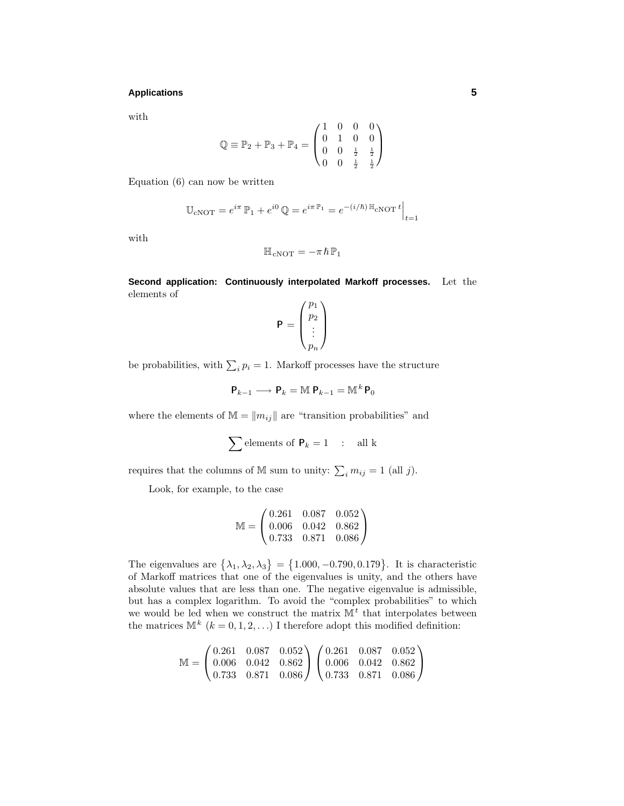## **Applications 5**

with

$$
\mathbb{Q} \equiv \mathbb{P}_2 + \mathbb{P}_3 + \mathbb{P}_4 = \begin{pmatrix} 1 & 0 & 0 & 0 \\ 0 & 1 & 0 & 0 \\ 0 & 0 & \frac{1}{2} & \frac{1}{2} \\ 0 & 0 & \frac{1}{2} & \frac{1}{2} \end{pmatrix}
$$

Equation (6) can now be written

$$
\mathbb{U}_{\text{cNOT}} = e^{i\pi} \mathbb{P}_1 + e^{i0} \mathbb{Q} = e^{i\pi \mathbb{P}_1} = e^{-(i/\hbar) \mathbb{H}_{\text{cNOT}} t} \Big|_{t=1}
$$

with

$$
\mathbb{H}_{\text{cNOT}} = -\pi \hbar \mathbb{P}_1
$$

**Second application: Continuously interpolated Markoff processes.** Let the elements of

$$
\mathbf{P} = \begin{pmatrix} p_1 \\ p_2 \\ \vdots \\ p_n \end{pmatrix}
$$

be probabilities, with  $\sum_i p_i = 1$ . Markoff processes have the structure

$$
\mathsf{P}_{k-1} \longrightarrow \mathsf{P}_k = \mathbb{M} \; \mathsf{P}_{k-1} = \mathbb{M}^k \, \mathsf{P}_0
$$

where the elements of  $\mathbb{M} = ||m_{ij}||$  are "transition probabilities" and

$$
\sum \text{elements of } \mathbf{P}_k = 1 \quad : \quad \text{all } k
$$

requires that the columns of M sum to unity:  $\sum_i m_{ij} = 1$  (all *j*).

Look, for example, to the case

$$
\mathbb{M} = \begin{pmatrix} 0.261 & 0.087 & 0.052 \\ 0.006 & 0.042 & 0.862 \\ 0.733 & 0.871 & 0.086 \end{pmatrix}
$$

The eigenvalues are  $\{\lambda_1, \lambda_2, \lambda_3\} = \{1.000, -0.790, 0.179\}$ . It is characteristic of Markoff matrices that one of the eigenvalues is unity, and the others have absolute values that are less than one. The negative eigenvalue is admissible, but has a complex logarithm. To avoid the "complex probabilities" to which we would be led when we construct the matrix  $\mathbb{M}^t$  that interpolates between the matrices  $\mathbb{M}^k$  ( $k = 0, 1, 2, \ldots$ ) I therefore adopt this modified definition:

$$
\mathbb{M} = \begin{pmatrix} 0.261 & 0.087 & 0.052 \\ 0.006 & 0.042 & 0.862 \\ 0.733 & 0.871 & 0.086 \end{pmatrix} \begin{pmatrix} 0.261 & 0.087 & 0.052 \\ 0.006 & 0.042 & 0.862 \\ 0.733 & 0.871 & 0.086 \end{pmatrix}
$$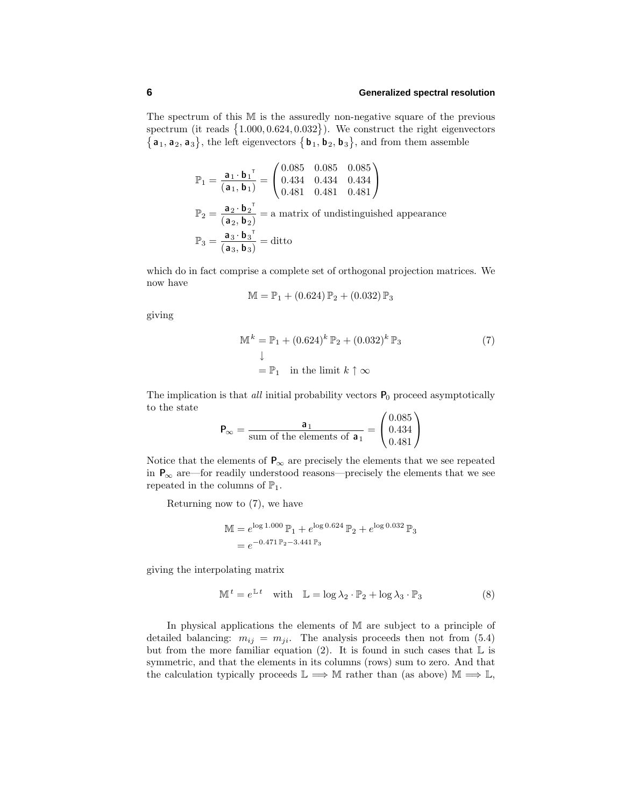## **6 Generalized spectral resolution**

The spectrum of this M is the assuredly non-negative square of the previous spectrum (it reads  $\{1.000, 0.624, 0.032\}$ ). We construct the right eigenvectors  $\{a_1, a_2, a_3\}$ , the left eigenvectors  $\{b_1, b_2, b_3\}$ , and from them assemble

$$
\mathbb{P}_1 = \frac{\mathbf{a}_1 \cdot \mathbf{b}_1^{\top}}{(\mathbf{a}_1, \mathbf{b}_1)} = \begin{pmatrix} 0.085 & 0.085 & 0.085 \\ 0.434 & 0.434 & 0.434 \\ 0.481 & 0.481 & 0.481 \end{pmatrix}
$$

$$
\mathbb{P}_2 = \frac{\mathbf{a}_2 \cdot \mathbf{b}_2^{\top}}{(\mathbf{a}_2, \mathbf{b}_2)} = \text{a matrix of undistinguished appearance}
$$

$$
\mathbb{P}_3 = \frac{\mathbf{a}_3 \cdot \mathbf{b}_3^{\top}}{(\mathbf{a}_3, \mathbf{b}_3)} = \text{ditto}
$$

which do in fact comprise a complete set of orthogonal projection matrices. We now have

$$
M = P_1 + (0.624) P_2 + (0.032) P_3
$$

giving

$$
\mathbb{M}^{k} = \mathbb{P}_{1} + (0.624)^{k} \mathbb{P}_{2} + (0.032)^{k} \mathbb{P}_{3}
$$
  
\n
$$
\downarrow
$$
  
\n
$$
= \mathbb{P}_{1} \text{ in the limit } k \uparrow \infty
$$
\n(7)

The implication is that *all* initial probability vectors  $P_0$  proceed asymptotically to the state

$$
\mathbf{P}_{\infty} = \frac{\mathbf{a}_1}{\text{sum of the elements of } \mathbf{a}_1} = \begin{pmatrix} 0.085 \\ 0.434 \\ 0.481 \end{pmatrix}
$$

Notice that the elements of  $P_{\infty}$  are precisely the elements that we see repeated in  $P_{\infty}$  are—for readily understood reasons—precisely the elements that we see repeated in the columns of  $\mathbb{P}_1$ .

Returning now to (7), we have

$$
\begin{aligned} \mathbb{M} &= e^{\log 1.000} \, \mathbb{P}_1 + e^{\log 0.624} \, \mathbb{P}_2 + e^{\log 0.032} \, \mathbb{P}_3 \\ &= e^{-0.471 \, \mathbb{P}_2 - 3.441 \, \mathbb{P}_3} \end{aligned}
$$

giving the interpolating matrix

$$
\mathbb{M}^t = e^{\mathbb{L}t} \quad \text{with} \quad \mathbb{L} = \log \lambda_2 \cdot \mathbb{P}_2 + \log \lambda_3 \cdot \mathbb{P}_3 \tag{8}
$$

In physical applications the elements of M are subject to a principle of detailed balancing:  $m_{ij} = m_{ji}$ . The analysis proceeds then not from (5.4) but from the more familiar equation (2). It is found in such cases that  $\mathbb L$  is symmetric, and that the elements in its columns (rows) sum to zero. And that the calculation typically proceeds  $\mathbb{L} \Longrightarrow \mathbb{M}$  rather than (as above)  $\mathbb{M} \Longrightarrow \mathbb{L}$ ,